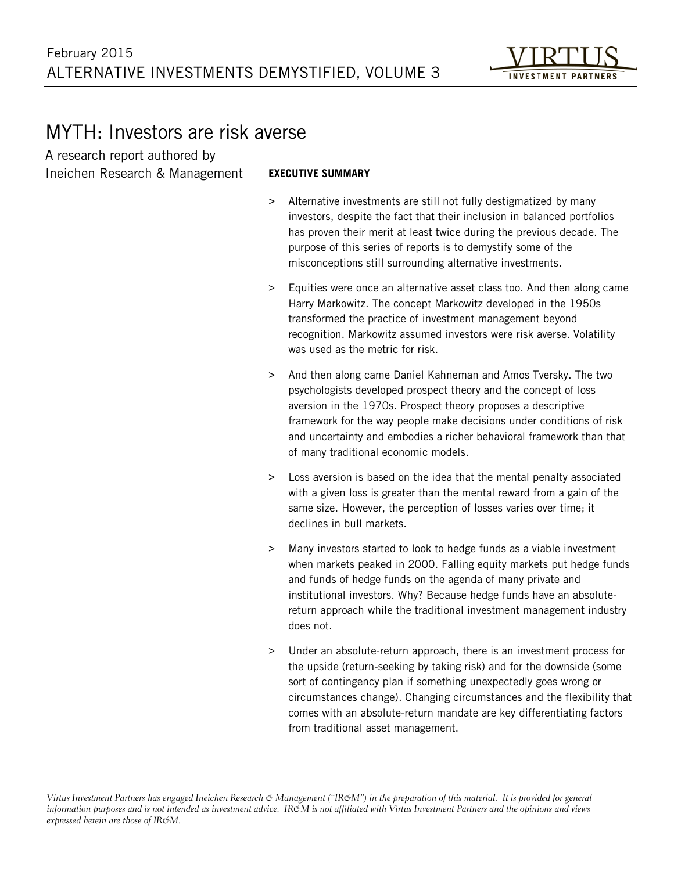

# MYTH: Investors are risk averse

A research report authored by Ineichen Research & Management

#### **EXECUTIVE SUMMARY**

- > Alternative investments are still not fully destigmatized by many investors, despite the fact that their inclusion in balanced portfolios has proven their merit at least twice during the previous decade. The purpose of this series of reports is to demystify some of the misconceptions still surrounding alternative investments.
- > Equities were once an alternative asset class too. And then along came Harry Markowitz. The concept Markowitz developed in the 1950s transformed the practice of investment management beyond recognition. Markowitz assumed investors were risk averse. Volatility was used as the metric for risk.
- > And then along came Daniel Kahneman and Amos Tversky. The two psychologists developed prospect theory and the concept of loss aversion in the 1970s. Prospect theory proposes a descriptive framework for the way people make decisions under conditions of risk and uncertainty and embodies a richer behavioral framework than that of many traditional economic models.
- > Loss aversion is based on the idea that the mental penalty associated with a given loss is greater than the mental reward from a gain of the same size. However, the perception of losses varies over time; it declines in bull markets.
- > Many investors started to look to hedge funds as a viable investment when markets peaked in 2000. Falling equity markets put hedge funds and funds of hedge funds on the agenda of many private and institutional investors. Why? Because hedge funds have an absolutereturn approach while the traditional investment management industry does not.
- > Under an absolute-return approach, there is an investment process for the upside (return-seeking by taking risk) and for the downside (some sort of contingency plan if something unexpectedly goes wrong or circumstances change). Changing circumstances and the flexibility that comes with an absolute-return mandate are key differentiating factors from traditional asset management.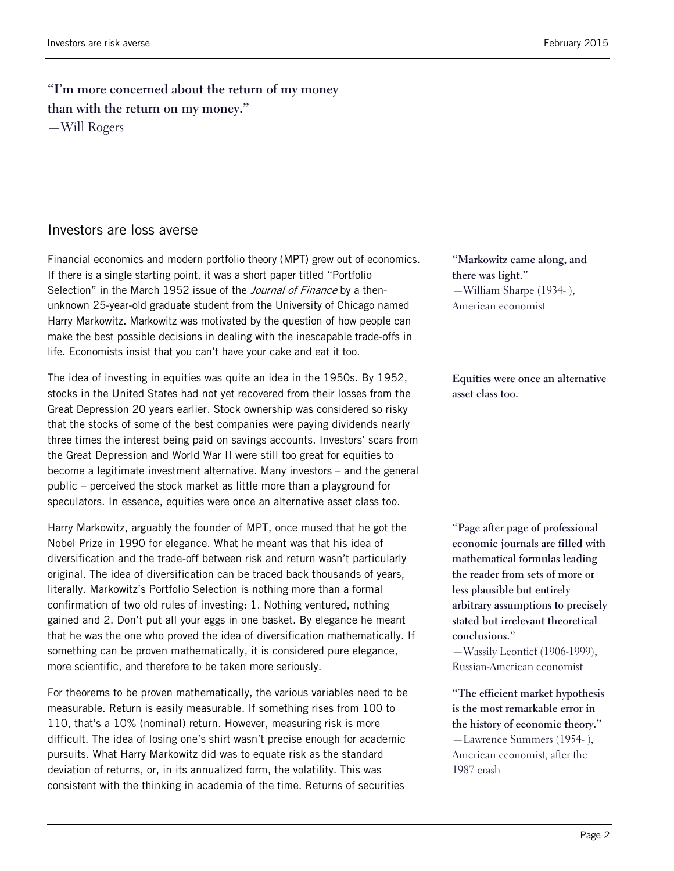### **"I'm more concerned about the return of my money than with the return on my money."** —Will Rogers

#### Investors are loss averse

Financial economics and modern portfolio theory (MPT) grew out of economics. If there is a single starting point, it was a short paper titled "Portfolio Selection" in the March 1952 issue of the Journal of Finance by a thenunknown 25-year-old graduate student from the University of Chicago named Harry Markowitz. Markowitz was motivated by the question of how people can make the best possible decisions in dealing with the inescapable trade-offs in life. Economists insist that you can't have your cake and eat it too.

The idea of investing in equities was quite an idea in the 1950s. By 1952, stocks in the United States had not yet recovered from their losses from the Great Depression 20 years earlier. Stock ownership was considered so risky that the stocks of some of the best companies were paying dividends nearly three times the interest being paid on savings accounts. Investors' scars from the Great Depression and World War II were still too great for equities to become a legitimate investment alternative. Many investors – and the general public – perceived the stock market as little more than a playground for speculators. In essence, equities were once an alternative asset class too.

Harry Markowitz, arguably the founder of MPT, once mused that he got the Nobel Prize in 1990 for elegance. What he meant was that his idea of diversification and the trade-off between risk and return wasn't particularly original. The idea of diversification can be traced back thousands of years, literally. Markowitz's Portfolio Selection is nothing more than a formal confirmation of two old rules of investing: 1. Nothing ventured, nothing gained and 2. Don't put all your eggs in one basket. By elegance he meant that he was the one who proved the idea of diversification mathematically. If something can be proven mathematically, it is considered pure elegance, more scientific, and therefore to be taken more seriously.

For theorems to be proven mathematically, the various variables need to be measurable. Return is easily measurable. If something rises from 100 to 110, that's a 10% (nominal) return. However, measuring risk is more difficult. The idea of losing one's shirt wasn't precise enough for academic pursuits. What Harry Markowitz did was to equate risk as the standard deviation of returns, or, in its annualized form, the volatility. This was consistent with the thinking in academia of the time. Returns of securities

**"Markowitz came along, and there was light."** —William Sharpe (1934- ), American economist

**Equities were once an alternative asset class too.**

**"Page after page of professional economic journals are filled with mathematical formulas leading the reader from sets of more or less plausible but entirely arbitrary assumptions to precisely stated but irrelevant theoretical conclusions."**

—Wassily Leontief (1906-1999), Russian-American economist

**"The efficient market hypothesis is the most remarkable error in the history of economic theory."** —Lawrence Summers (1954- ), American economist, after the 1987 crash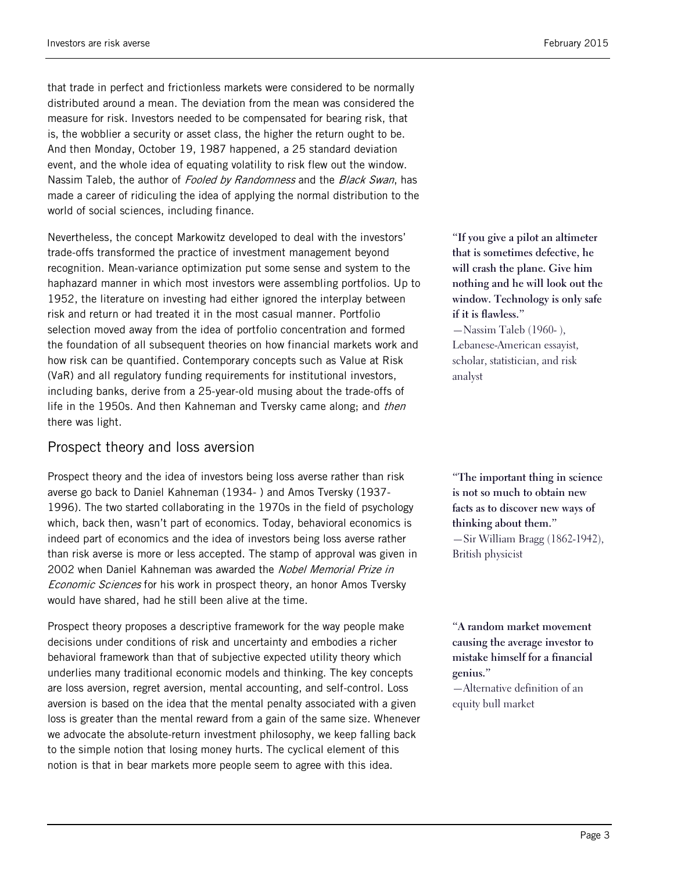that trade in perfect and frictionless markets were considered to be normally distributed around a mean. The deviation from the mean was considered the measure for risk. Investors needed to be compensated for bearing risk, that is, the wobblier a security or asset class, the higher the return ought to be. And then Monday, October 19, 1987 happened, a 25 standard deviation event, and the whole idea of equating volatility to risk flew out the window. Nassim Taleb, the author of Fooled by Randomness and the Black Swan, has made a career of ridiculing the idea of applying the normal distribution to the world of social sciences, including finance.

Nevertheless, the concept Markowitz developed to deal with the investors' trade-offs transformed the practice of investment management beyond recognition. Mean-variance optimization put some sense and system to the haphazard manner in which most investors were assembling portfolios. Up to 1952, the literature on investing had either ignored the interplay between risk and return or had treated it in the most casual manner. Portfolio selection moved away from the idea of portfolio concentration and formed the foundation of all subsequent theories on how financial markets work and how risk can be quantified. Contemporary concepts such as Value at Risk (VaR) and all regulatory funding requirements for institutional investors, including banks, derive from a 25-year-old musing about the trade-offs of life in the 1950s. And then Kahneman and Tversky came along; and *then* there was light.

#### Prospect theory and loss aversion

Prospect theory and the idea of investors being loss averse rather than risk averse go back to Daniel Kahneman (1934- ) and Amos Tversky (1937- 1996). The two started collaborating in the 1970s in the field of psychology which, back then, wasn't part of economics. Today, behavioral economics is indeed part of economics and the idea of investors being loss averse rather than risk averse is more or less accepted. The stamp of approval was given in 2002 when Daniel Kahneman was awarded the Nobel Memorial Prize in Economic Sciences for his work in prospect theory, an honor Amos Tversky would have shared, had he still been alive at the time.

Prospect theory proposes a descriptive framework for the way people make decisions under conditions of risk and uncertainty and embodies a richer behavioral framework than that of subjective expected utility theory which underlies many traditional economic models and thinking. The key concepts are loss aversion, regret aversion, mental accounting, and self-control. Loss aversion is based on the idea that the mental penalty associated with a given loss is greater than the mental reward from a gain of the same size. Whenever we advocate the absolute-return investment philosophy, we keep falling back to the simple notion that losing money hurts. The cyclical element of this notion is that in bear markets more people seem to agree with this idea.

**"If you give a pilot an altimeter that is sometimes defective, he will crash the plane. Give him nothing and he will look out the window. Technology is only safe if it is flawless."** —Nassim Taleb (1960- ),

Lebanese-American essayist, scholar, statistician, and risk analyst

**"The important thing in science is not so much to obtain new facts as to discover new ways of thinking about them."** —Sir William Bragg (1862-1942), British physicist

**"A random market movement causing the average investor to mistake himself for a financial genius."**

—Alternative definition of an equity bull market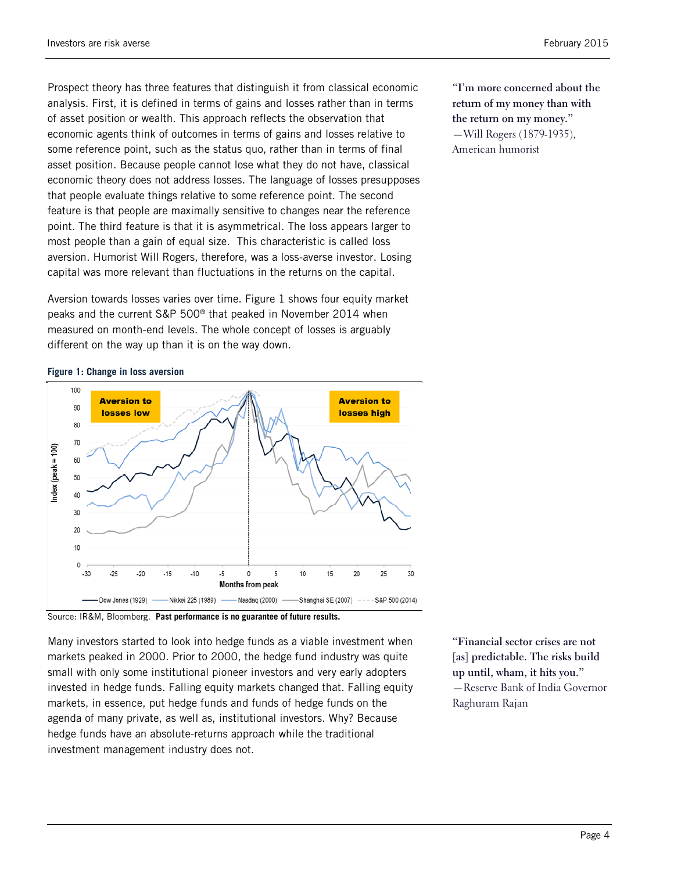Prospect theory has three features that distinguish it from classical economic analysis. First, it is defined in terms of gains and losses rather than in terms of asset position or wealth. This approach reflects the observation that economic agents think of outcomes in terms of gains and losses relative to some reference point, such as the status quo, rather than in terms of final asset position. Because people cannot lose what they do not have, classical economic theory does not address losses. The language of losses presupposes that people evaluate things relative to some reference point. The second feature is that people are maximally sensitive to changes near the reference point. The third feature is that it is asymmetrical. The loss appears larger to most people than a gain of equal size. This characteristic is called loss aversion. Humorist Will Rogers, therefore, was a loss-averse investor. Losing capital was more relevant than fluctuations in the returns on the capital.

Aversion towards losses varies over time. Figure 1 shows four equity market peaks and the current S&P 500® that peaked in November 2014 when measured on month-end levels. The whole concept of losses is arguably different on the way up than it is on the way down.

100 **Aversion to Aversion to** 90 losses high losses low 80 70  $ndex$  (peak = 100)  $60$ 50  $40$ 30 20 10  $\theta$  $-30$  $-25$  $-15$  $-10$ -5  $\Omega$ 5  $10$ 15  $.20$  $20$ 25 30 **Months from peak** Nasdaq (2000) Dow Jones (1929) Nikkei 225 (1989) Shanghai SE (2007) S&P 500 (2014)

**Figure 1: Change in loss aversion**

Source: IR&M, Bloomberg. **Past performance is no guarantee of future results.**

Many investors started to look into hedge funds as a viable investment when markets peaked in 2000. Prior to 2000, the hedge fund industry was quite small with only some institutional pioneer investors and very early adopters invested in hedge funds. Falling equity markets changed that. Falling equity markets, in essence, put hedge funds and funds of hedge funds on the agenda of many private, as well as, institutional investors. Why? Because hedge funds have an absolute-returns approach while the traditional investment management industry does not.

**"Financial sector crises are not [as] predictable. The risks build up until, wham, it hits you."** —Reserve Bank of India Governor Raghuram Rajan

**"I'm more concerned about the return of my money than with the return on my money."** —Will Rogers (1879-1935), American humorist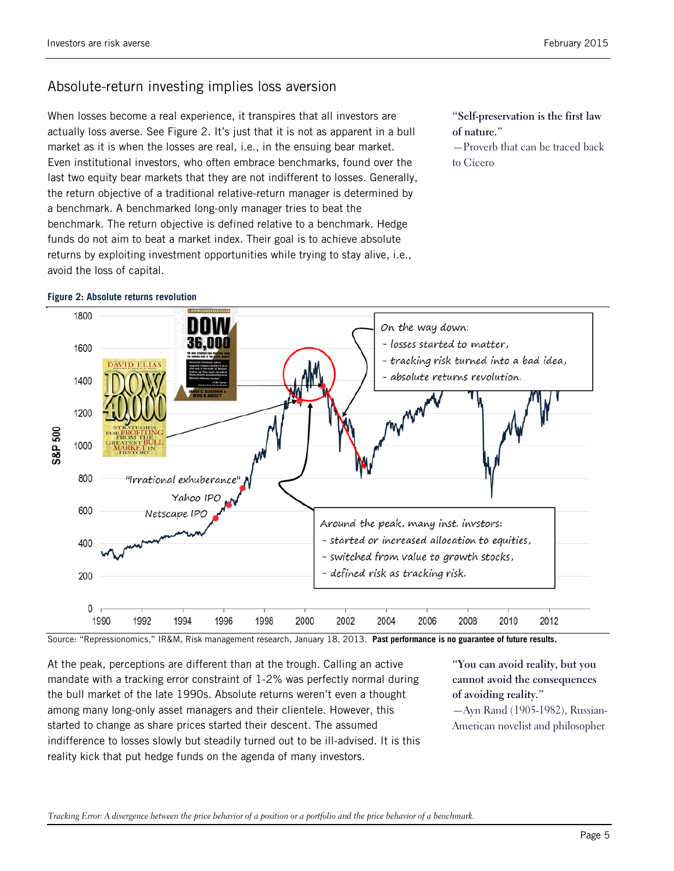## Absolute-return investing implies loss aversion

When losses become a real experience, it transpires that all investors are actually loss averse. See Figure 2. It's just that it is not as apparent in a bull market as it is when the losses are real, i.e., in the ensuing bear market. Even institutional investors, who often embrace benchmarks, found over the last two equity bear markets that they are not indifferent to losses. Generally, the return objective of a traditional relative-return manager is determined by a benchmark. A benchmarked long-only manager tries to beat the benchmark. The return objective is defined relative to a benchmark. Hedge funds do not aim to beat a market index. Their goal is to achieve absolute returns by exploiting investment opportunities while trying to stay alive, i.e., avoid the loss of capital.

**"Self-preservation is the first law of nature."**

—Proverb that can be traced back to Cicero



Source: "Repressionomics," IR&M, Risk management research, January 18, 2013. **Past performance is no guarantee of future results.**

At the peak, perceptions are different than at the trough. Calling an active mandate with a tracking error constraint of 1-2% was perfectly normal during the bull market of the late 1990s. Absolute returns weren't even a thought among many long-only asset managers and their clientele. However, this started to change as share prices started their descent. The assumed indifference to losses slowly but steadily turned out to be ill-advised. It is this reality kick that put hedge funds on the agenda of many investors.

**"You can avoid reality, but you cannot avoid the consequences of avoiding reality."**

—Ayn Rand (1905-1982), Russian-American novelist and philosopher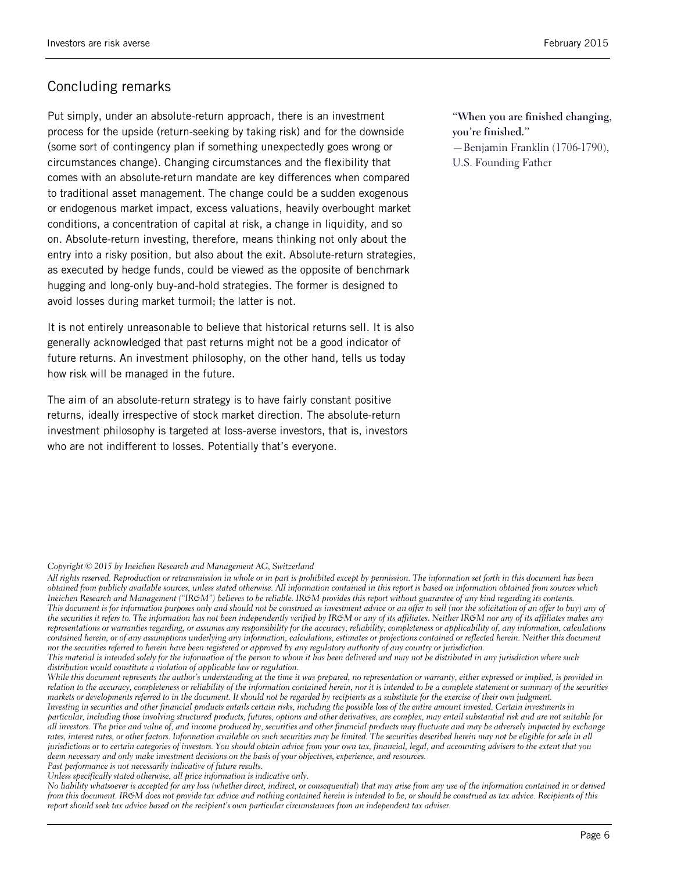### Concluding remarks

Put simply, under an absolute-return approach, there is an investment process for the upside (return-seeking by taking risk) and for the downside (some sort of contingency plan if something unexpectedly goes wrong or circumstances change). Changing circumstances and the flexibility that comes with an absolute-return mandate are key differences when compared to traditional asset management. The change could be a sudden exogenous or endogenous market impact, excess valuations, heavily overbought market conditions, a concentration of capital at risk, a change in liquidity, and so on. Absolute-return investing, therefore, means thinking not only about the entry into a risky position, but also about the exit. Absolute-return strategies, as executed by hedge funds, could be viewed as the opposite of benchmark hugging and long-only buy-and-hold strategies. The former is designed to avoid losses during market turmoil; the latter is not.

It is not entirely unreasonable to believe that historical returns sell. It is also generally acknowledged that past returns might not be a good indicator of future returns. An investment philosophy, on the other hand, tells us today how risk will be managed in the future.

The aim of an absolute-return strategy is to have fairly constant positive returns, ideally irrespective of stock market direction. The absolute-return investment philosophy is targeted at loss-averse investors, that is, investors who are not indifferent to losses. Potentially that's everyone.

**"When you are finished changing, you're finished."**

—Benjamin Franklin (1706-1790), U.S. Founding Father

#### *Copyright © 2015 by Ineichen Research and Management AG, Switzerland*

*All rights reserved. Reproduction or retransmission in whole or in part is prohibited except by permission. The information set forth in this document has been obtained from publicly available sources, unless stated otherwise. All information contained in this report is based on information obtained from sources which Ineichen Research and Management ("IR&M") believes to be reliable. IR&M provides this report without guarantee of any kind regarding its contents. This document is for information purposes only and should not be construed as investment advice or an offer to sell (nor the solicitation of an offer to buy) any of*  the securities it refers to. The information has not been independently verified by IR&M or any of its affiliates. Neither IR&M nor any of its affiliates makes any *representations or warranties regarding, or assumes any responsibility for the accuracy, reliability, completeness or applicability of, any information, calculations contained herein, or of any assumptions underlying any information, calculations, estimates or projections contained or reflected herein. Neither this document nor the securities referred to herein have been registered or approved by any regulatory authority of any country or jurisdiction.*

*This material is intended solely for the information of the person to whom it has been delivered and may not be distributed in any jurisdiction where such distribution would constitute a violation of applicable law or regulation.*

*While this document represents the author's understanding at the time it was prepared, no representation or warranty, either expressed or implied, is provided in relation to the accuracy, completeness or reliability of the information contained herein, nor it is intended to be a complete statement or summary of the securities markets or developments referred to in the document. It should not be regarded by recipients as a substitute for the exercise of their own judgment.*

*Investing in securities and other financial products entails certain risks, including the possible loss of the entire amount invested. Certain investments in particular, including those involving structured products, futures, options and other derivatives, are complex, may entail substantial risk and are not suitable for all investors. The price and value of, and income produced by, securities and other financial products may fluctuate and may be adversely impacted by exchange rates, interest rates, or other factors. Information available on such securities may be limited. The securities described herein may not be eligible for sale in all jurisdictions or to certain categories of investors. You should obtain advice from your own tax, financial, legal, and accounting advisers to the extent that you deem necessary and only make investment decisions on the basis of your objectives, experience, and resources.* 

*Past performance is not necessarily indicative of future results.*

*Unless specifically stated otherwise, all price information is indicative only.*

*No liability whatsoever is accepted for any loss (whether direct, indirect, or consequential) that may arise from any use of the information contained in or derived from this document. IR&M does not provide tax advice and nothing contained herein is intended to be, or should be construed as tax advice. Recipients of this report should seek tax advice based on the recipient's own particular circumstances from an independent tax adviser.*